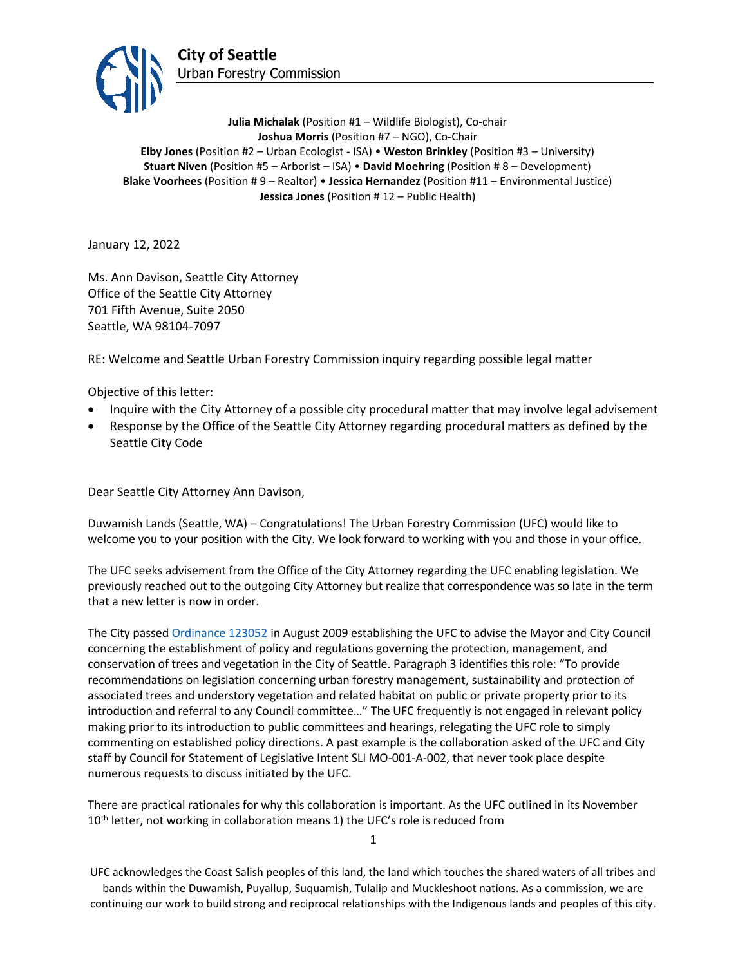

**Julia Michalak** (Position #1 – Wildlife Biologist), Co-chair **Joshua Morris** (Position #7 – NGO), Co-Chair **Elby Jones** (Position #2 – Urban Ecologist - ISA) • **Weston Brinkley** (Position #3 – University) **Stuart Niven** (Position #5 – Arborist – ISA) • **David Moehring** (Position # 8 – Development) **Blake Voorhees** (Position # 9 – Realtor) • **Jessica Hernandez** (Position #11 – Environmental Justice) **Jessica Jones** (Position # 12 – Public Health)

January 12, 2022

Ms. Ann Davison, Seattle City Attorney Office of the Seattle City Attorney 701 Fifth Avenue, Suite 2050 Seattle, WA 98104-7097

RE: Welcome and Seattle Urban Forestry Commission inquiry regarding possible legal matter

Objective of this letter:

- Inquire with the City Attorney of a possible city procedural matter that may involve legal advisement
- Response by the Office of the Seattle City Attorney regarding procedural matters as defined by the Seattle City Code

Dear Seattle City Attorney Ann Davison,

Duwamish Lands (Seattle, WA) – Congratulations! The Urban Forestry Commission (UFC) would like to welcome you to your position with the City. We look forward to working with you and those in your office.

The UFC seeks advisement from the Office of the City Attorney regarding the UFC enabling legislation. We previously reached out to the outgoing City Attorney but realize that correspondence was so late in the term that a new letter is now in order.

The City passed [Ordinance 123052](http://clerk.seattle.gov/search/ordinances/123052) in August 2009 establishing the UFC to advise the Mayor and City Council concerning the establishment of policy and regulations governing the protection, management, and conservation of trees and vegetation in the City of Seattle. Paragraph 3 identifies this role: "To provide recommendations on legislation concerning urban forestry management, sustainability and protection of associated trees and understory vegetation and related habitat on public or private property prior to its introduction and referral to any Council committee…" The UFC frequently is not engaged in relevant policy making prior to its introduction to public committees and hearings, relegating the UFC role to simply commenting on established policy directions. A past example is the collaboration asked of the UFC and City staff by Council for Statement of Legislative Intent SLI MO-001-A-002, that never took place despite numerous requests to discuss initiated by the UFC.

There are practical rationales for why this collaboration is important. As the UFC outlined in its November 10<sup>th</sup> letter, not working in collaboration means 1) the UFC's role is reduced from

1

UFC acknowledges the Coast Salish peoples of this land, the land which touches the shared waters of all tribes and bands within the Duwamish, Puyallup, Suquamish, Tulalip and Muckleshoot nations. As a commission, we are continuing our work to build strong and reciprocal relationships with the Indigenous lands and peoples of this city.